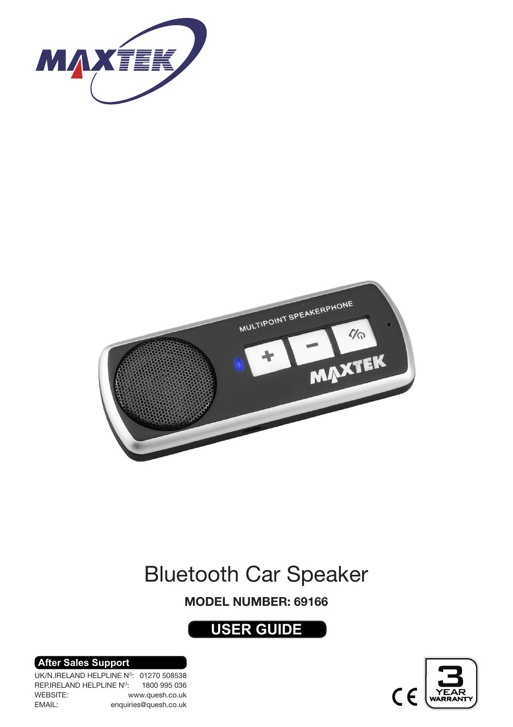



## Bluetooth Car Speaker

#### MODEL NUMBER: 69166

## **USER GUIDE**

# $\mathsf{C}$

**After Sales Support**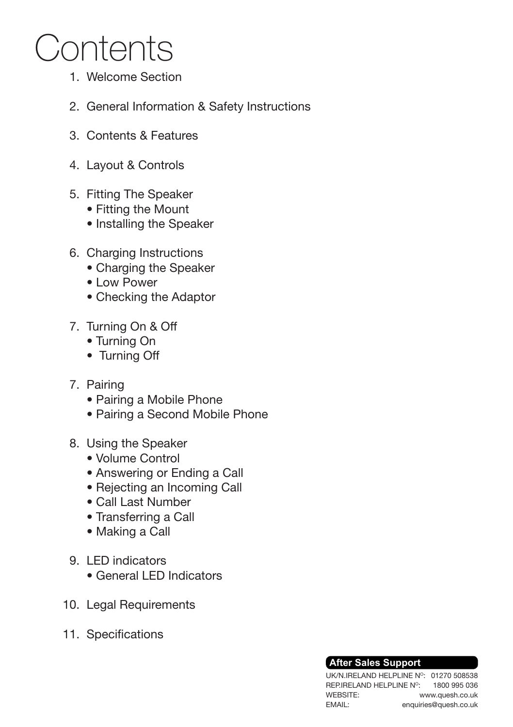## Contents

- Welcome Section 1.
- 2. General Information & Safety Instructions
- 3. Contents & Features
- Layout & Controls 4.
- 5. Fitting The Speaker
	- Fitting the Mount
	- Installing the Speaker
- 6. Charging Instructions
	- Charging the Speaker
	- Low Power
	- Checking the Adaptor
- 7. Turning On & Off
	- Turning On
	- Turning Off
- 7. Pairing
	- Pairing a Mobile Phone
	- Pairing a Second Mobile Phone
- 8. Using the Speaker
	- Volume Control
	- Answering or Ending a Call
	- Rejecting an Incoming Call
	- Call Last Number
	- Transferring a Call
	- Making a Call
- 9. LED indicators
	- General LED Indicators
- 10. Legal Requirements
- 11. Specifications

#### **After Sales Support**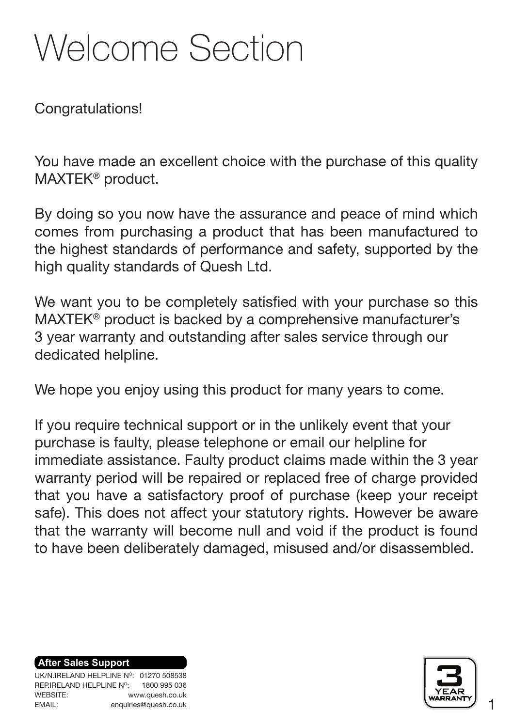## Welcome Section

Congratulations!

You have made an excellent choice with the purchase of this quality MAXTEK® product.

By doing so you now have the assurance and peace of mind which comes from purchasing a product that has been manufactured to the highest standards of performance and safety, supported by the high quality standards of Quesh Ltd.

We want you to be completely satisfied with your purchase so this MAXTEK® product is backed by a comprehensive manufacturer's 3 year warranty and outstanding after sales service through our dedicated helpline.

We hope you enjoy using this product for many years to come.

If you require technical support or in the unlikely event that your purchase is faulty, please telephone or email our helpline for immediate assistance. Faulty product claims made within the 3 year warranty period will be repaired or replaced free of charge provided that you have a satisfactory proof of purchase (keep your receipt safe). This does not affect your statutory rights. However be aware that the warranty will become null and void if the product is found to have been deliberately damaged, misused and/or disassembled.

**After Sales Support**

UK/N.IRELAND HELPLINE Nº: 01270 508538 REP.IRELAND HELPLINE NO: WEBSITE: EMAIL: 1800 995 036 www.quesh.co.uk enquiries@quesh.co.uk



1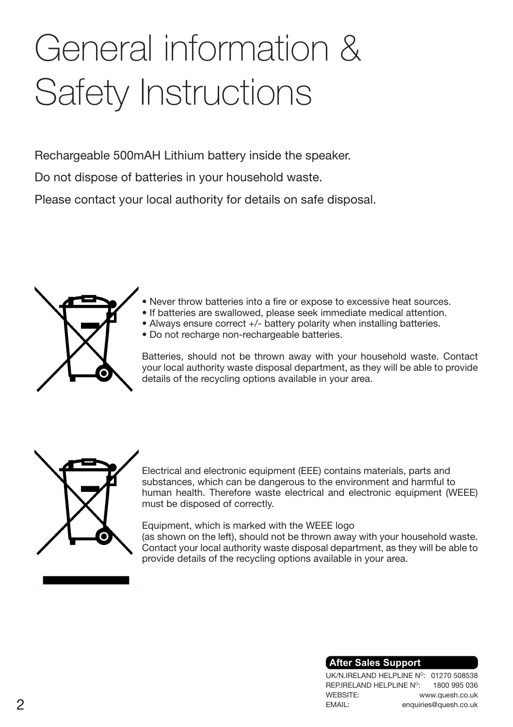## General information & Safety Instructions

Rechargeable 500mAH Lithium battery inside the speaker.

Do not dispose of batteries in your household waste.

Please contact your local authority for details on safe disposal.



- Never throw batteries into a fire or expose to excessive heat sources.
- If batteries are swallowed, please seek immediate medical attention.
	- Always ensure correct +/- battery polarity when installing batteries.
	- Do not recharge non-rechargeable batteries.

Batteries, should not be thrown away with your household waste. Contact your local authority waste disposal department, as they will be able to provide details of the recycling options available in your area.



Electrical and electronic equipment (EEE) contains materials, parts and substances, which can be dangerous to the environment and harmful to human health. Therefore waste electrical and electronic equipment (WEEE) must be disposed of correctly.

Equipment, which is marked with the WEEE logo (as shown on the left), should not be thrown away with your household waste. Contact your local authority waste disposal department, as they will be able to provide details of the recycling options available in your area.

#### **After Sales Support**

UK/N.IRELAND HELPLINE N°: 01270 508538 REP.IRELAND HELPLINE NO: WEBSITE: EMAIL: 1800 995 036 www.quesh.co.uk  $2$  enquiries@quesh.co.uk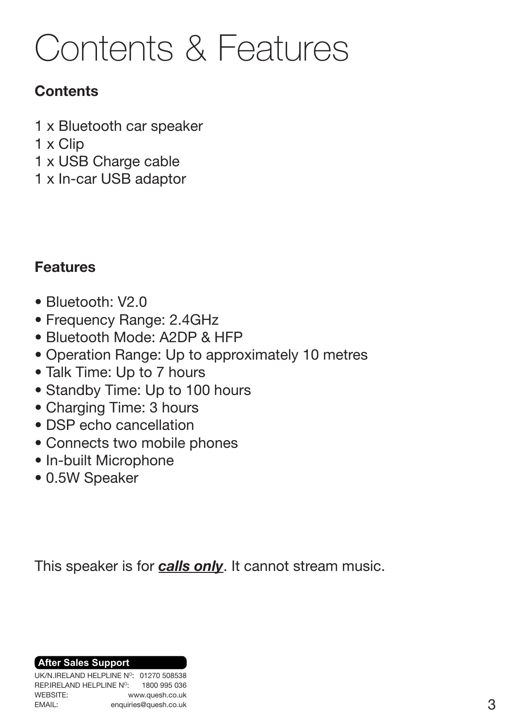## Contents & Features

## **Contents**

- 1 x Bluetooth car speaker
- 1 x Clip
- 1 x USB Charge cable
- 1 x In-car USB adaptor

### Features

- Bluetooth: V2.0
- Frequency Range: 2.4GHz
- Bluetooth Mode: A2DP & HFP
- Operation Range: Up to approximately 10 metres
- Talk Time: Up to 7 hours
- Standby Time: Up to 100 hours
- Charging Time: 3 hours
- DSP echo cancellation
- Connects two mobile phones
- In-built Microphone
- 0.5W Speaker

This speaker is for *calls only*. It cannot stream music.

**After Sales Support**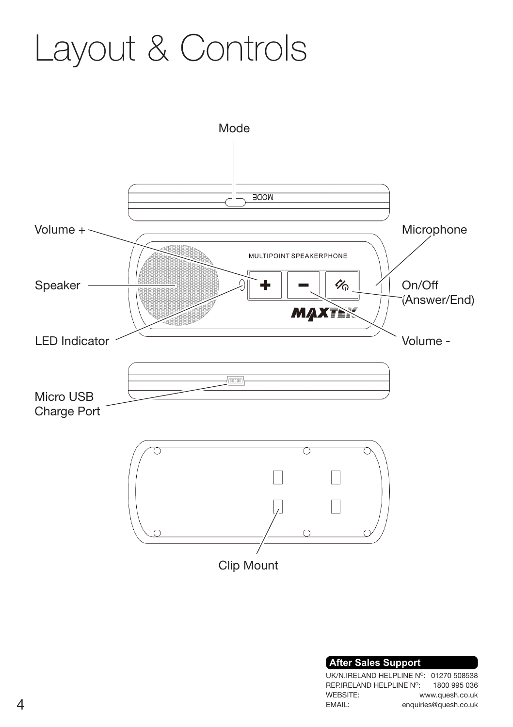## Layout & Controls



| <b>After Sales Support</b> |                          |                                        |
|----------------------------|--------------------------|----------------------------------------|
|                            |                          | UK/N.IRELAND HELPLINE Nº: 01270 508538 |
|                            | REP.IRELAND HELPLINE N°: | 1800 995 036                           |
|                            |                          | www.auesh.co.uk                        |
|                            |                          | enquiries@quesh.co.uk                  |
|                            |                          |                                        |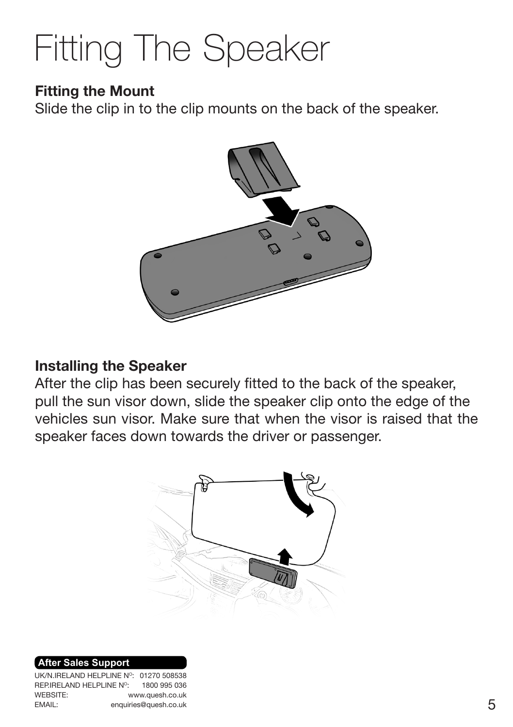## Fitting The Speaker

### Fitting the Mount

Slide the clip in to the clip mounts on the back of the speaker.



#### Installing the Speaker

After the clip has been securely fitted to the back of the speaker, pull the sun visor down, slide the speaker clip onto the edge of the vehicles sun visor. Make sure that when the visor is raised that the speaker faces down towards the driver or passenger.



#### **After Sales Support**

UK/N.IRELAND HELPLINE Nº: 01270 508538 REP.IRELAND HELPLINE NO: WEBSITE: EMAIL: 1800 995 036 www.quesh.co.uk enquiries@quesh.co.uk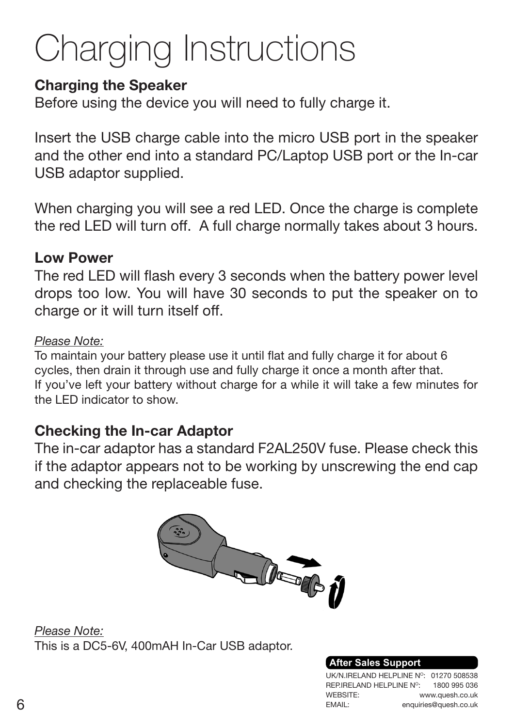## Charging Instructions

### **Charging the Speaker**

Before using the device you will need to fully charge it.

Insert the USB charge cable into the micro USB port in the speaker and the other end into a standard PC/Laptop USB port or the In-car USB adaptor supplied.

When charging you will see a red LED. Once the charge is complete the red LED will turn off. A full charge normally takes about 3 hours.

#### Low Power

The red LED will flash every 3 seconds when the battery power level drops too low. You will have 30 seconds to put the speaker on to charge or it will turn itself off.

#### *Please Note:*

To maintain your battery please use it until flat and fully charge it for about 6 cycles, then drain it through use and fully charge it once a month after that. If you've left your battery without charge for a while it will take a few minutes for the LED indicator to show.

### Checking the In-car Adaptor

The in-car adaptor has a standard F2AL250V fuse. Please check this if the adaptor appears not to be working by unscrewing the end cap and checking the replaceable fuse.



*Please Note:* This is a DC5-6V, 400mAH In-Car USB adaptor.

#### **After Sales Support**

UK/N.IRELAND HELPLINE N°: 01270 508538 REP.IRELAND HELPLINE NO: WEBSITE: EMAIL: 1800 995 036 www.quesh.co.uk  $6$  enquiries@quesh.co.uk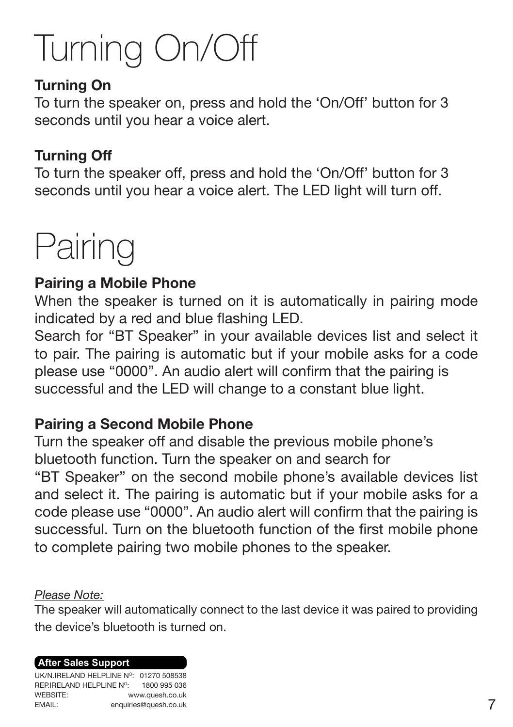## Turning On/Off

### Turning On

To turn the speaker on, press and hold the 'On/Off' button for 3 seconds until you hear a voice alert.

### Turning Off

To turn the speaker off, press and hold the 'On/Off' button for 3 seconds until you hear a voice alert. The LED light will turn off.

## **Pairing**

### Pairing a Mobile Phone

When the speaker is turned on it is automatically in pairing mode indicated by a red and blue flashing LED.

Search for "BT Speaker" in your available devices list and select it to pair. The pairing is automatic but if your mobile asks for a code please use "0000". An audio alert will confirm that the pairing is successful and the LED will change to a constant blue light.

### Pairing a Second Mobile Phone

Turn the speaker off and disable the previous mobile phone's bluetooth function. Turn the speaker on and search for "BT Speaker" on the second mobile phone's available devices list and select it. The pairing is automatic but if your mobile asks for a code please use "0000". An audio alert will confirm that the pairing is successful. Turn on the bluetooth function of the first mobile phone to complete pairing two mobile phones to the speaker.

#### *Please Note:*

The speaker will automatically connect to the last device it was paired to providing the device's bluetooth is turned on.

#### **After Sales Support**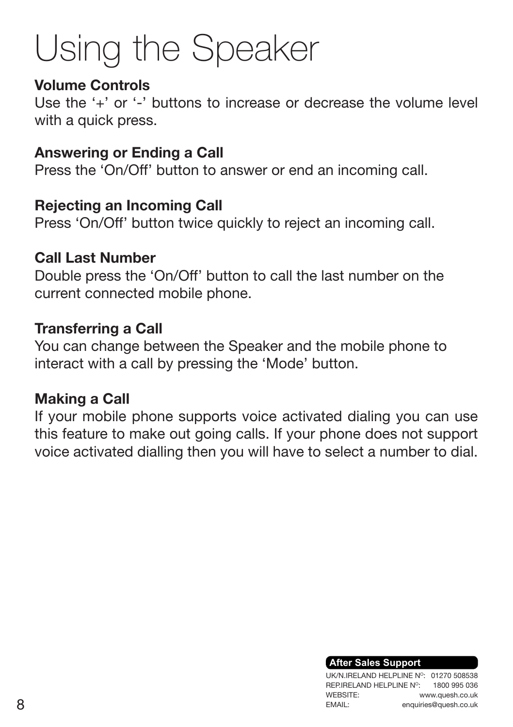## Using the Speaker

#### Volume Controls

Use the '+' or '-' buttons to increase or decrease the volume level with a quick press.

### Answering or Ending a Call

Press the 'On/Off' button to answer or end an incoming call.

### Rejecting an Incoming Call

Press 'On/Off' button twice quickly to reject an incoming call.

### Call Last Number

Double press the 'On/Off' button to call the last number on the current connected mobile phone.

### Transferring a Call

You can change between the Speaker and the mobile phone to interact with a call by pressing the 'Mode' button.

### Making a Call

If your mobile phone supports voice activated dialing you can use this feature to make out going calls. If your phone does not support voice activated dialling then you will have to select a number to dial.

#### **After Sales Support**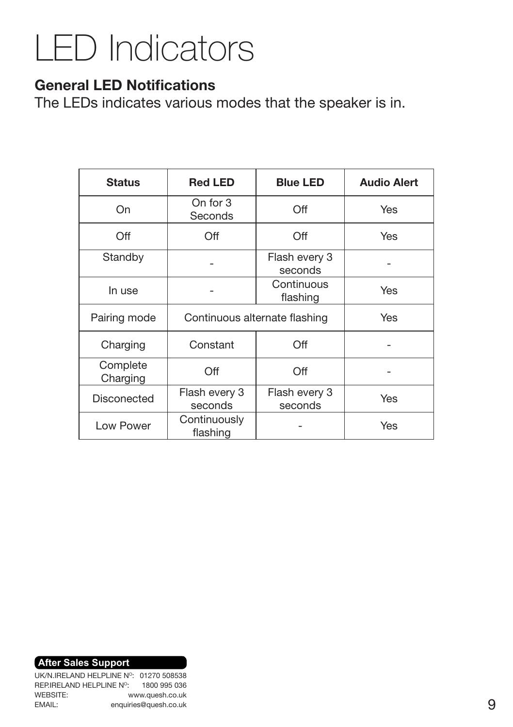## LED Indicators

#### General LED Notifications

The LEDs indicates various modes that the speaker is in.

| <b>Status</b>        | <b>Red LED</b>                | <b>Blue LED</b>          | <b>Audio Alert</b> |
|----------------------|-------------------------------|--------------------------|--------------------|
| On                   | On for 3<br>Seconds           | Off                      | Yes                |
| Off                  | Off                           | Off                      | Yes                |
| Standby              |                               | Flash every 3<br>seconds |                    |
| In use               |                               | Continuous<br>flashing   | Yes                |
| Pairing mode         | Continuous alternate flashing | Yes                      |                    |
| Charging             | Constant                      | Off                      |                    |
| Complete<br>Charging | Off                           | Off                      |                    |
| Disconected          | Flash every 3<br>seconds      | Flash every 3<br>seconds | Yes                |
| Low Power            | Continuously<br>flashing      |                          | Yes                |

**After Sales Support**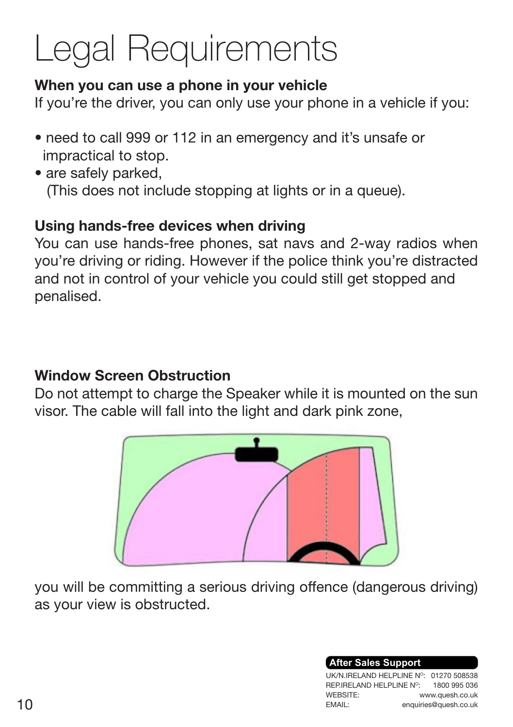## Legal Requirements

### When you can use a phone in your vehicle

If you're the driver, you can only use your phone in a vehicle if you:

- need to call 999 or 112 in an emergency and it's unsafe or impractical to stop.
- are safely parked, (This does not include stopping at lights or in a queue).

### Using hands-free devices when driving

You can use hands-free phones, sat navs and 2-way radios when you're driving or riding. However if the police think you're distracted and not in control of your vehicle you could still get stopped and penalised.

### Window Screen Obstruction

Do not attempt to charge the Speaker while it is mounted on the sun visor. The cable will fall into the light and dark pink zone,



you will be committing a serious driving offence (dangerous driving) as your view is obstructed.

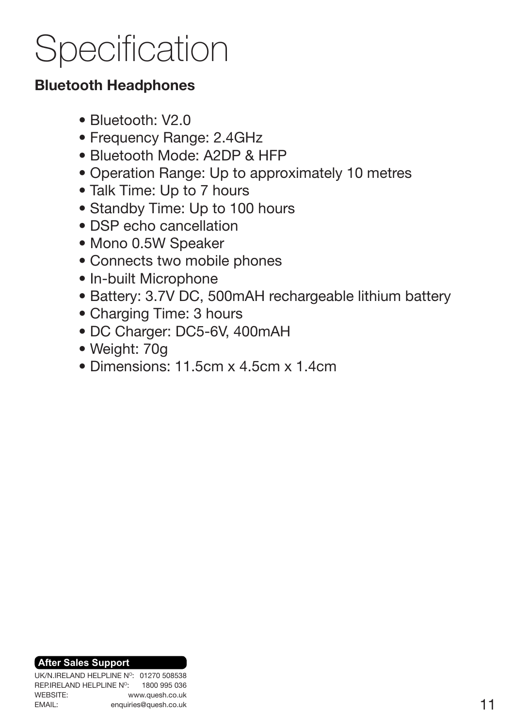## **Specification**

### Bluetooth Headphones

- Bluetooth: V2.0
- Frequency Range: 2.4GHz
- Bluetooth Mode: A2DP & HFP
- Operation Range: Up to approximately 10 metres
- Talk Time: Up to 7 hours
- Standby Time: Up to 100 hours
- DSP echo cancellation
- Mono 0.5W Speaker
- Connects two mobile phones
- In-built Microphone
- Battery: 3.7V DC, 500mAH rechargeable lithium battery
- Charging Time: 3 hours
- DC Charger: DC5-6V, 400mAH
- Weight: 70g
- Dimensions: 11.5cm x 4.5cm x 1.4cm

#### **After Sales Support**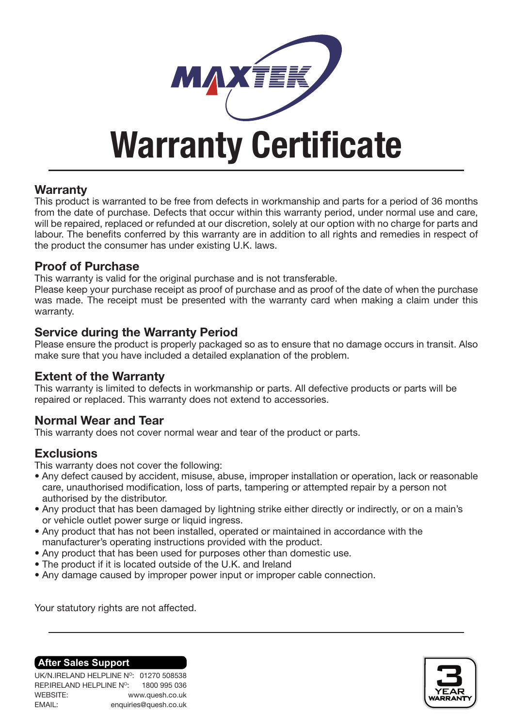

## Warranty Certificate

#### **Warranty**

This product is warranted to be free from defects in workmanship and parts for a period of 36 months from the date of purchase. Defects that occur within this warranty period, under normal use and care, will be repaired, replaced or refunded at our discretion, solely at our option with no charge for parts and labour. The benefits conferred by this warranty are in addition to all rights and remedies in respect of the product the consumer has under existing U.K. laws.

#### Proof of Purchase

This warranty is valid for the original purchase and is not transferable.

Please keep your purchase receipt as proof of purchase and as proof of the date of when the purchase was made. The receipt must be presented with the warranty card when making a claim under this warranty.

#### Service during the Warranty Period

Please ensure the product is properly packaged so as to ensure that no damage occurs in transit. Also make sure that you have included a detailed explanation of the problem.

#### Extent of the Warranty

This warranty is limited to defects in workmanship or parts. All defective products or parts will be repaired or replaced. This warranty does not extend to accessories.

#### Normal Wear and Tear

This warranty does not cover normal wear and tear of the product or parts.

#### **Exclusions**

This warranty does not cover the following:

- Any defect caused by accident, misuse, abuse, improper installation or operation, lack or reasonable care, unauthorised modification, loss of parts, tampering or attempted repair by a person not authorised by the distributor.
- Any product that has been damaged by lightning strike either directly or indirectly, or on a main's or vehicle outlet power surge or liquid ingress.
- Any product that has not been installed, operated or maintained in accordance with the manufacturer's operating instructions provided with the product.
- Any product that has been used for purposes other than domestic use.
- The product if it is located outside of the U.K. and Ireland
- Any damage caused by improper power input or improper cable connection.

Your statutory rights are not affected.

#### **After Sales Support**

UK/N.IRELAND HELPLINE Nº: 01270 508538 REP.IRELAND HELPLINE NO: WEBSITE: EMAIL: 1800 995 036 www.quesh.co.uk enquiries@quesh.co.uk